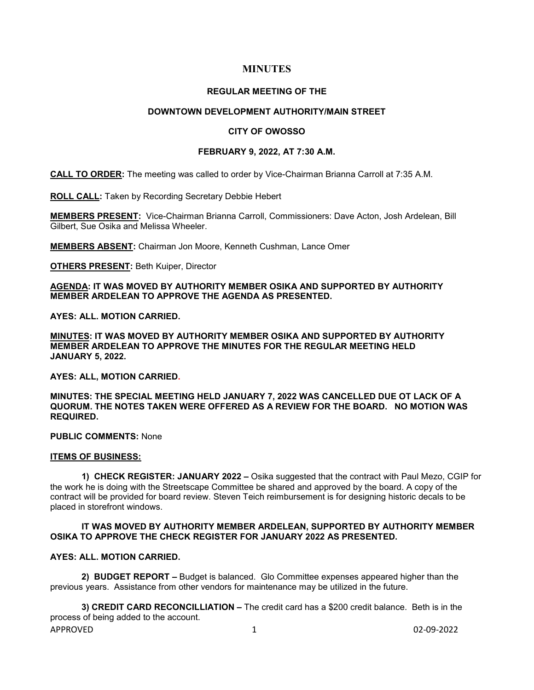# **MINUTES**

#### **REGULAR MEETING OF THE**

## **DOWNTOWN DEVELOPMENT AUTHORITY/MAIN STREET**

#### **CITY OF OWOSSO**

#### **FEBRUARY 9, 2022, AT 7:30 A.M.**

**CALL TO ORDER:** The meeting was called to order by Vice-Chairman Brianna Carroll at 7:35 A.M.

**ROLL CALL:** Taken by Recording Secretary Debbie Hebert

**MEMBERS PRESENT:** Vice-Chairman Brianna Carroll, Commissioners: Dave Acton, Josh Ardelean, Bill Gilbert, Sue Osika and Melissa Wheeler.

**MEMBERS ABSENT:** Chairman Jon Moore, Kenneth Cushman, Lance Omer

**OTHERS PRESENT:** Beth Kuiper, Director

**AGENDA: IT WAS MOVED BY AUTHORITY MEMBER OSIKA AND SUPPORTED BY AUTHORITY MEMBER ARDELEAN TO APPROVE THE AGENDA AS PRESENTED.**

**AYES: ALL. MOTION CARRIED.** 

**MINUTES: IT WAS MOVED BY AUTHORITY MEMBER OSIKA AND SUPPORTED BY AUTHORITY MEMBER ARDELEAN TO APPROVE THE MINUTES FOR THE REGULAR MEETING HELD JANUARY 5, 2022.** 

**AYES: ALL, MOTION CARRIED.** 

**MINUTES: THE SPECIAL MEETING HELD JANUARY 7, 2022 WAS CANCELLED DUE OT LACK OF A QUORUM. THE NOTES TAKEN WERE OFFERED AS A REVIEW FOR THE BOARD. NO MOTION WAS REQUIRED.**

**PUBLIC COMMENTS:** None

#### **ITEMS OF BUSINESS:**

**1) CHECK REGISTER: JANUARY 2022 –** Osika suggested that the contract with Paul Mezo, CGIP for the work he is doing with the Streetscape Committee be shared and approved by the board. A copy of the contract will be provided for board review. Steven Teich reimbursement is for designing historic decals to be placed in storefront windows.

## **IT WAS MOVED BY AUTHORITY MEMBER ARDELEAN, SUPPORTED BY AUTHORITY MEMBER OSIKA TO APPROVE THE CHECK REGISTER FOR JANUARY 2022 AS PRESENTED.**

## **AYES: ALL. MOTION CARRIED.**

**2) BUDGET REPORT –** Budget is balanced. Glo Committee expenses appeared higher than the previous years. Assistance from other vendors for maintenance may be utilized in the future.

APPROVED 1 02-09-2022 **3) CREDIT CARD RECONCILLIATION –** The credit card has a \$200 credit balance. Beth is in the process of being added to the account.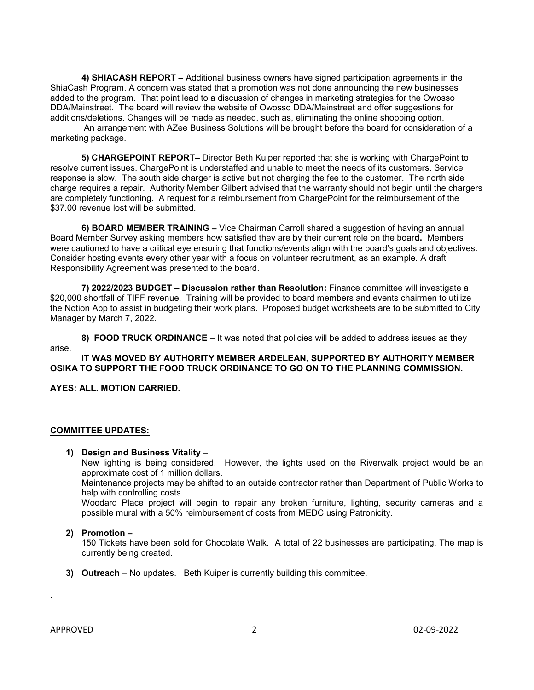**4) SHIACASH REPORT –** Additional business owners have signed participation agreements in the ShiaCash Program. A concern was stated that a promotion was not done announcing the new businesses added to the program. That point lead to a discussion of changes in marketing strategies for the Owosso DDA/Mainstreet. The board will review the website of Owosso DDA/Mainstreet and offer suggestions for additions/deletions. Changes will be made as needed, such as, eliminating the online shopping option.

An arrangement with AZee Business Solutions will be brought before the board for consideration of a marketing package.

**5) CHARGEPOINT REPORT–** Director Beth Kuiper reported that she is working with ChargePoint to resolve current issues. ChargePoint is understaffed and unable to meet the needs of its customers. Service response is slow. The south side charger is active but not charging the fee to the customer. The north side charge requires a repair. Authority Member Gilbert advised that the warranty should not begin until the chargers are completely functioning. A request for a reimbursement from ChargePoint for the reimbursement of the \$37.00 revenue lost will be submitted.

**6) BOARD MEMBER TRAINING –** Vice Chairman Carroll shared a suggestion of having an annual Board Member Survey asking members how satisfied they are by their current role on the boar**d.** Members were cautioned to have a critical eye ensuring that functions/events align with the board's goals and objectives. Consider hosting events every other year with a focus on volunteer recruitment, as an example. A draft Responsibility Agreement was presented to the board.

**7) 2022/2023 BUDGET – Discussion rather than Resolution:** Finance committee will investigate a \$20,000 shortfall of TIFF revenue. Training will be provided to board members and events chairmen to utilize the Notion App to assist in budgeting their work plans. Proposed budget worksheets are to be submitted to City Manager by March 7, 2022.

**8) FOOD TRUCK ORDINANCE –** It was noted that policies will be added to address issues as they arise.

## **IT WAS MOVED BY AUTHORITY MEMBER ARDELEAN, SUPPORTED BY AUTHORITY MEMBER OSIKA TO SUPPORT THE FOOD TRUCK ORDINANCE TO GO ON TO THE PLANNING COMMISSION.**

**AYES: ALL. MOTION CARRIED.** 

## **COMMITTEE UPDATES:**

## **1) Design and Business Vitality** –

New lighting is being considered. However, the lights used on the Riverwalk project would be an approximate cost of 1 million dollars.

Maintenance projects may be shifted to an outside contractor rather than Department of Public Works to help with controlling costs.

Woodard Place project will begin to repair any broken furniture, lighting, security cameras and a possible mural with a 50% reimbursement of costs from MEDC using Patronicity.

## **2) Promotion –**

150 Tickets have been sold for Chocolate Walk. A total of 22 businesses are participating. The map is currently being created.

**3) Outreach** – No updates. Beth Kuiper is currently building this committee.

**.**